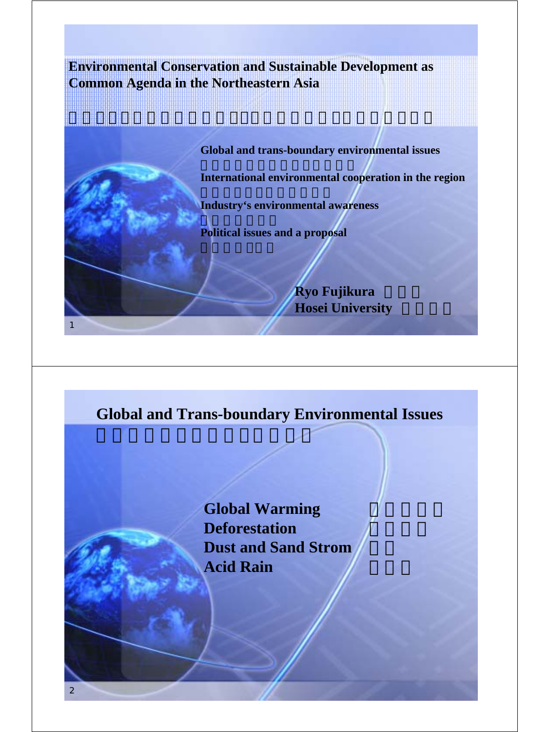**Environmental Conservation and Sustainable Development as Common Agenda in the Northeastern Asia**



## **Global and Trans-boundary Environmental Issues**

地球規模及び越境する環境問題

**Global Warming Deforestation Dust and Sand Strom** Acid Rain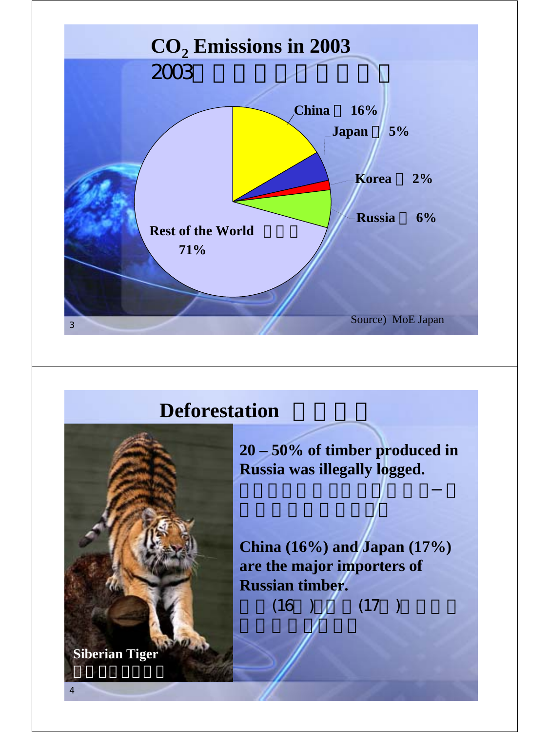

## **Deforestation**



**20 – 50% of timber produced in Russia was illegally logged.** 

ロシアで生産される材木の2-5

 $\blacksquare$ 

 $\mathbb{R}$ 

**China (16%) and Japan (17%) are the major importers of Russian timber.**  $(16)$   $(17)$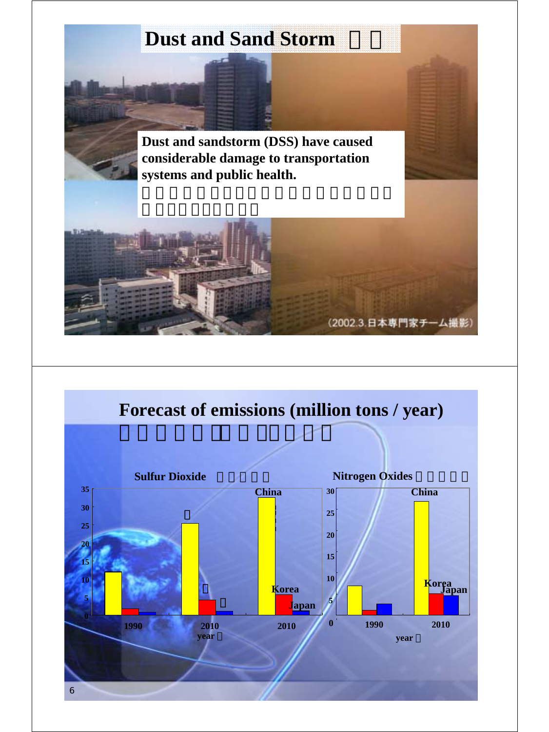## **Dust and Sand Storm**

**Dust and sandstorm (DSS) have caused considerable damage to transportation systems and public health.** 



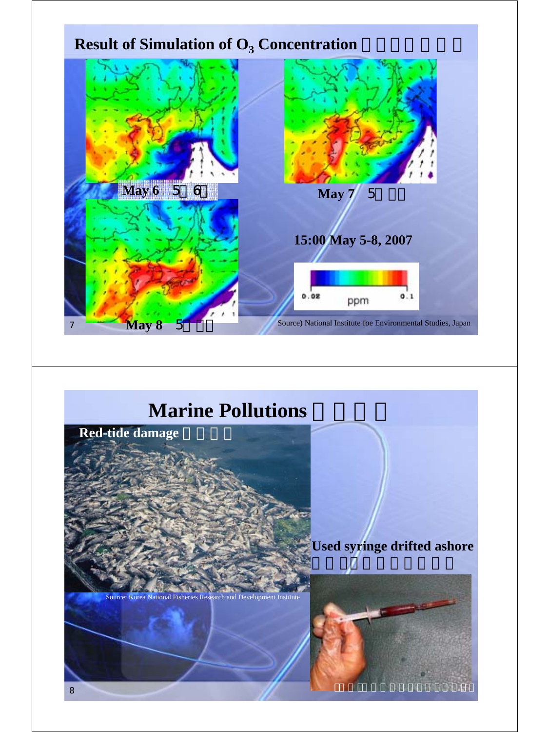

## **Marine Pollutions**

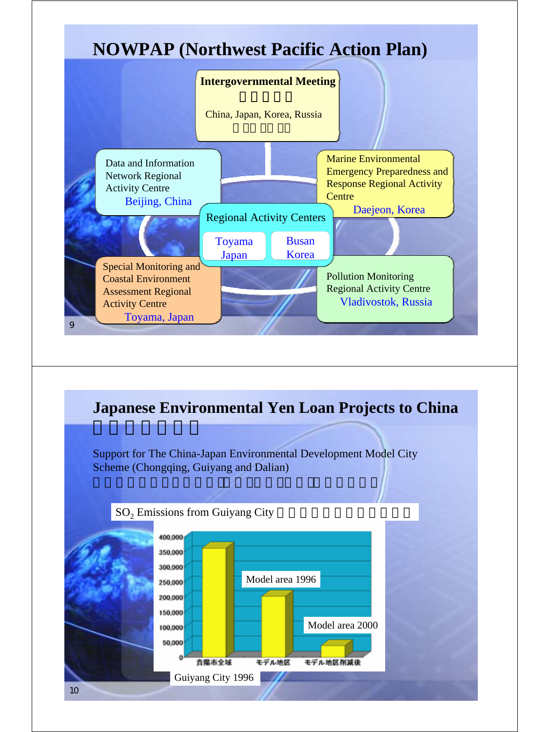



10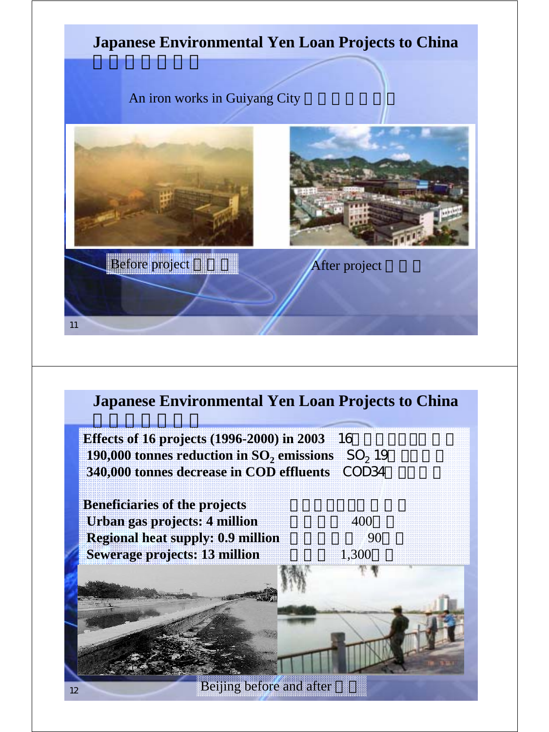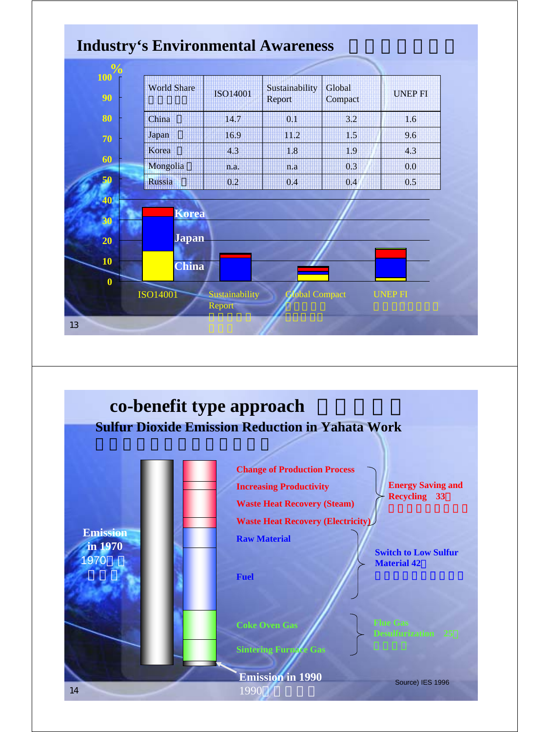

**Emission in 1990** Source) IES 1996 1990

14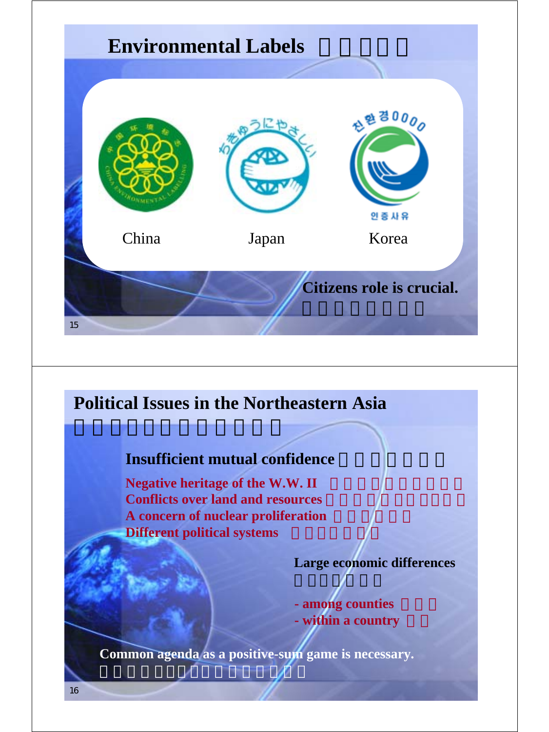![](_page_7_Figure_0.jpeg)